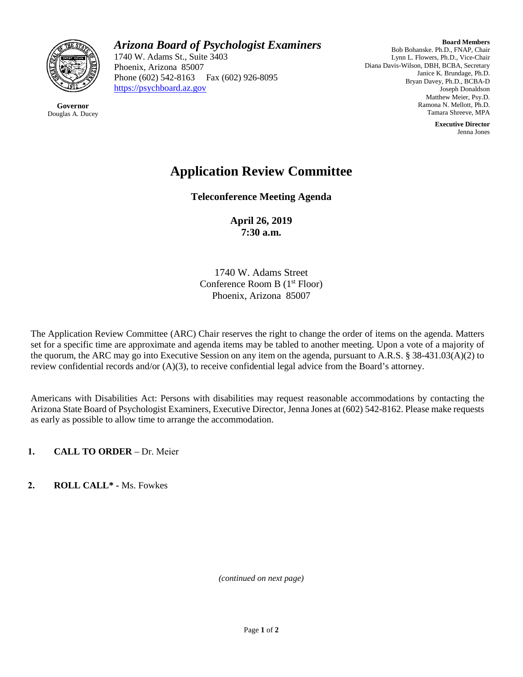

**Governor** Douglas A. Ducey

## *Arizona Board of Psychologist Examiners*

1740 W. Adams St., Suite 3403 Phoenix, Arizona 85007 Phone (602) 542-8163 Fax (602) 926-8095 [https://psychboard.az.gov](https://psychboard.az.gov/)

**Board Members** Bob Bohanske. Ph.D., FNAP, Chair Lynn L. Flowers, Ph.D., Vice-Chair Diana Davis-Wilson, DBH, BCBA, Secretary Janice K. Brundage, Ph.D. Bryan Davey, Ph.D., BCBA-D Joseph Donaldson Matthew Meier, Psy.D. Ramona N. Mellott, Ph.D. Tamara Shreeve, MPA

> **Executive Director** Jenna Jones

# **Application Review Committee**

**Teleconference Meeting Agenda**

**April 26, 2019 7:30 a.m.** 

1740 W. Adams Street Conference Room B (1<sup>st</sup> Floor) Phoenix, Arizona 85007

The Application Review Committee (ARC) Chair reserves the right to change the order of items on the agenda. Matters set for a specific time are approximate and agenda items may be tabled to another meeting. Upon a vote of a majority of the quorum, the ARC may go into Executive Session on any item on the agenda, pursuant to A.R.S. § 38-431.03(A)(2) to review confidential records and/or (A)(3), to receive confidential legal advice from the Board's attorney.

Americans with Disabilities Act: Persons with disabilities may request reasonable accommodations by contacting the Arizona State Board of Psychologist Examiners, Executive Director, Jenna Jones at (602) 542-8162. Please make requests as early as possible to allow time to arrange the accommodation.

**1. CALL TO ORDER** – Dr. Meier

**2. ROLL CALL\* -** Ms. Fowkes

*(continued on next page)*